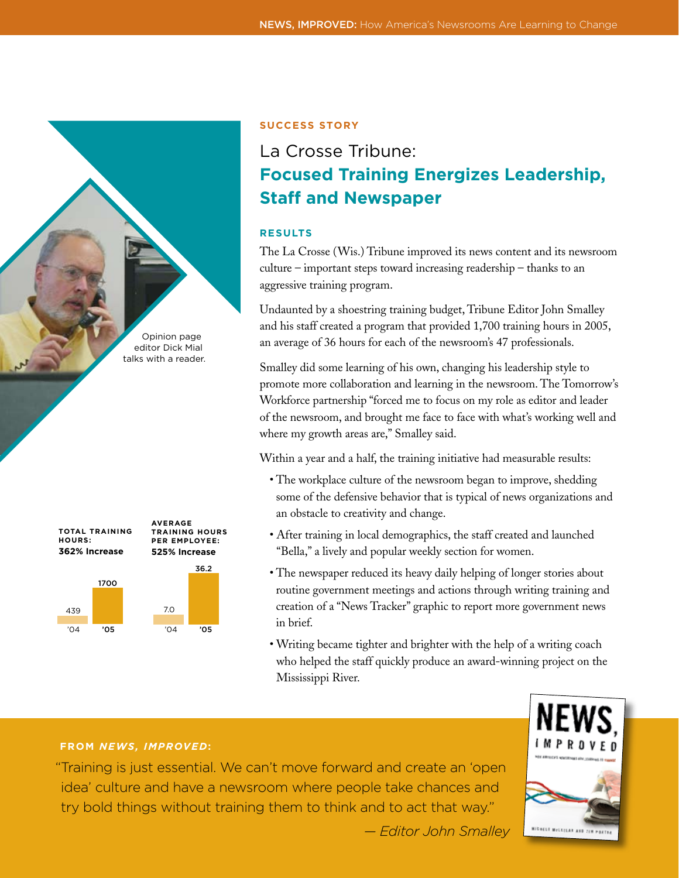Opinion page editor Dick Mial talks with a reader.



## **Success Story**

# La Crosse Tribune: **Focused Training Energizes Leadership, Staff and Newspaper**

## **RESULTS**

The La Crosse (Wis.) Tribune improved its news content and its newsroom culture – important steps toward increasing readership – thanks to an aggressive training program.

Undaunted by a shoestring training budget, Tribune Editor John Smalley and his staff created a program that provided 1,700 training hours in 2005, an average of 36 hours for each of the newsroom's 47 professionals.

Smalley did some learning of his own, changing his leadership style to promote more collaboration and learning in the newsroom. The Tomorrow's Workforce partnership "forced me to focus on my role as editor and leader of the newsroom, and brought me face to face with what's working well and where my growth areas are," Smalley said.

Within a year and a half, the training initiative had measurable results:

- The workplace culture of the newsroom began to improve, shedding some of the defensive behavior that is typical of news organizations and an obstacle to creativity and change.
- After training in local demographics, the staff created and launched "Bella," a lively and popular weekly section for women.
- The newspaper reduced its heavy daily helping of longer stories about routine government meetings and actions through writing training and creation of a "News Tracker" graphic to report more government news in brief.
- Writing became tighter and brighter with the help of a writing coach who helped the staff quickly produce an award-winning project on the Mississippi River.

# **FROM** *NEWS, IMPROVED***:**

"Training is just essential. We can't move forward and create an 'open idea' culture and have a newsroom where people take chances and try bold things without training them to think and to act that way."



*— Editor John Smalley*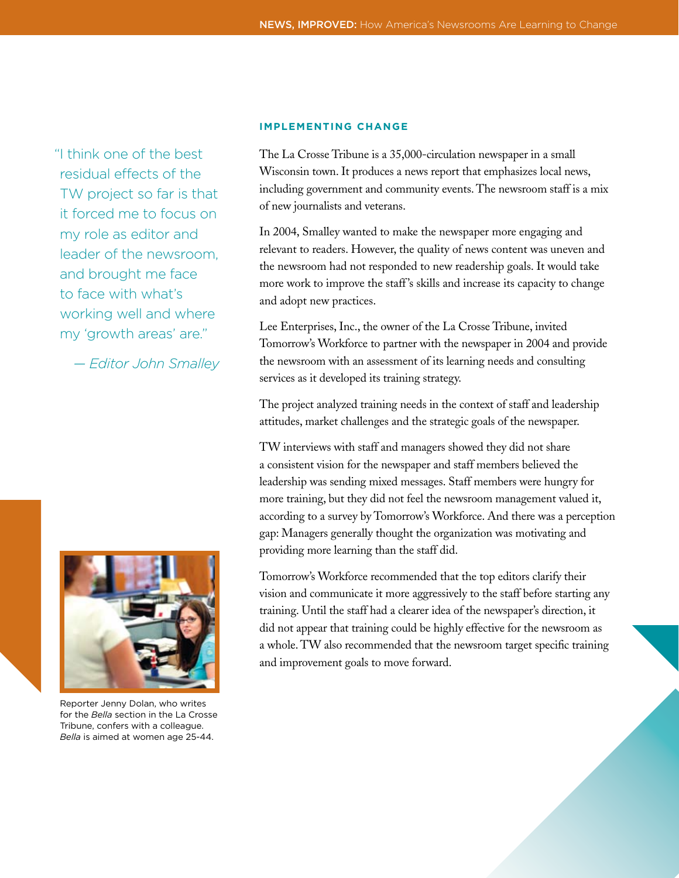"I think one of the best residual effects of the TW project so far is that it forced me to focus on my role as editor and leader of the newsroom, and brought me face to face with what's working well and where my 'growth areas' are."

*— Editor John Smalley*



Reporter Jenny Dolan, who writes for the *Bella* section in the La Crosse Tribune, confers with a colleague. *Bella* is aimed at women age 25-44.

#### **IMPLEMENTING CHANGE**

The La Crosse Tribune is a 35,000-circulation newspaper in a small Wisconsin town. It produces a news report that emphasizes local news, including government and community events. The newsroom staff is a mix of new journalists and veterans.

In 2004, Smalley wanted to make the newspaper more engaging and relevant to readers. However, the quality of news content was uneven and the newsroom had not responded to new readership goals. It would take more work to improve the staff 's skills and increase its capacity to change and adopt new practices.

Lee Enterprises, Inc., the owner of the La Crosse Tribune, invited Tomorrow's Workforce to partner with the newspaper in 2004 and provide the newsroom with an assessment of its learning needs and consulting services as it developed its training strategy.

The project analyzed training needs in the context of staff and leadership attitudes, market challenges and the strategic goals of the newspaper.

TW interviews with staff and managers showed they did not share a consistent vision for the newspaper and staff members believed the leadership was sending mixed messages. Staff members were hungry for more training, but they did not feel the newsroom management valued it, according to a survey by Tomorrow's Workforce. And there was a perception gap: Managers generally thought the organization was motivating and providing more learning than the staff did.

Tomorrow's Workforce recommended that the top editors clarify their vision and communicate it more aggressively to the staff before starting any training. Until the staff had a clearer idea of the newspaper's direction, it did not appear that training could be highly effective for the newsroom as a whole. TW also recommended that the newsroom target specific training and improvement goals to move forward.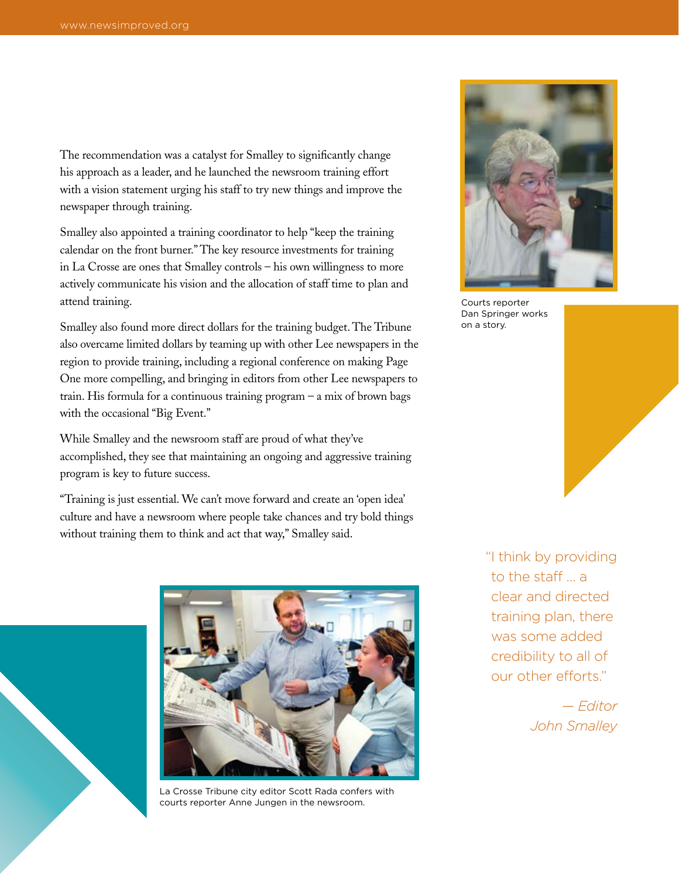The recommendation was a catalyst for Smalley to significantly change his approach as a leader, and he launched the newsroom training effort with a vision statement urging his staff to try new things and improve the newspaper through training.

Smalley also appointed a training coordinator to help "keep the training calendar on the front burner." The key resource investments for training in La Crosse are ones that Smalley controls – his own willingness to more actively communicate his vision and the allocation of staff time to plan and attend training.

Smalley also found more direct dollars for the training budget. The Tribune also overcame limited dollars by teaming up with other Lee newspapers in the region to provide training, including a regional conference on making Page One more compelling, and bringing in editors from other Lee newspapers to train. His formula for a continuous training program – a mix of brown bags with the occasional "Big Event."

While Smalley and the newsroom staff are proud of what they've accomplished, they see that maintaining an ongoing and aggressive training program is key to future success.

"Training is just essential. We can't move forward and create an 'open idea' culture and have a newsroom where people take chances and try bold things without training them to think and act that way," Smalley said.



La Crosse Tribune city editor Scott Rada confers with courts reporter Anne Jungen in the newsroom.

Courts reporter Dan Springer works on a story.

"I think by providing to the staff a clear and directed training plan, there was some added credibility to all of our other efforts."

> *— Editor John Smalley*